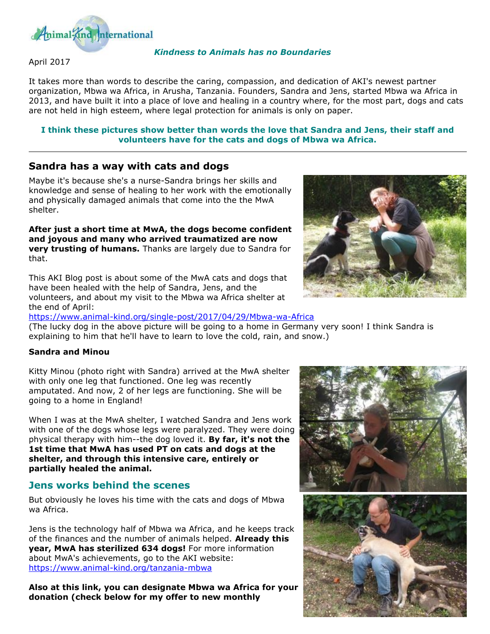

### April 2017

#### *Kindness to Animals has no Boundaries*

It takes more than words to describe the caring, compassion, and dedication of AKI's newest partner organization, Mbwa wa Africa, in Arusha, Tanzania. Founders, Sandra and Jens, started Mbwa wa Africa in 2013, and have built it into a place of love and healing in a country where, for the most part, dogs and cats are not held in high esteem, where legal protection for animals is only on paper.

#### **I think these pictures show better than words the love that Sandra and Jens, their staff and volunteers have for the cats and dogs of Mbwa wa Africa.**

## **Sandra has a way with cats and dogs**

Maybe it's because she's a nurse-Sandra brings her skills and knowledge and sense of healing to her work with the emotionally and physically damaged animals that come into the the MwA shelter.

**After just a short time at MwA, the dogs become confident and joyous and many who arrived traumatized are now very trusting of humans.** Thanks are largely due to Sandra for that.

This AKI Blog post is about some of the MwA cats and dogs that have been healed with the help of Sandra, Jens, and the volunteers, and about my visit to the Mbwa wa Africa shelter at the end of April:



<https://www.animal-kind.org/single-post/2017/04/29/Mbwa-wa-Africa>

(The lucky dog in the above picture will be going to a home in Germany very soon! I think Sandra is explaining to him that he'll have to learn to love the cold, rain, and snow.)

#### **Sandra and Minou**

Kitty Minou (photo right with Sandra) arrived at the MwA shelter with only one leg that functioned. One leg was recently amputated. And now, 2 of her legs are functioning. She will be going to a home in England!

When I was at the MwA shelter, I watched Sandra and Jens work with one of the dogs whose legs were paralyzed. They were doing physical therapy with him--the dog loved it. **By far, it's not the 1st time that MwA has used PT on cats and dogs at the shelter, and through this intensive care, entirely or partially healed the animal.**

## **Jens works behind the scenes**

But obviously he loves his time with the cats and dogs of Mbwa wa Africa.

Jens is the technology half of Mbwa wa Africa, and he keeps track of the finances and the number of animals helped. **Already this year, MwA has sterilized 634 dogs!** For more information about MwA's achievements, go to the AKI website: <https://www.animal-kind.org/tanzania-mbwa>

**Also at this link, you can designate Mbwa wa Africa for your donation (check below for my offer to new monthly** 

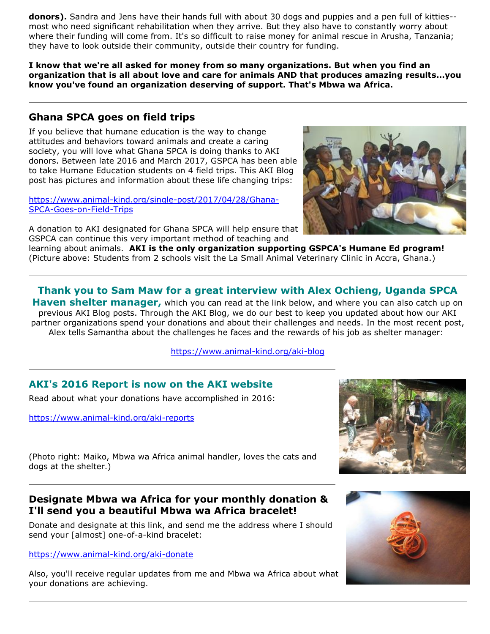**donors).** Sandra and Jens have their hands full with about 30 dogs and puppies and a pen full of kitties- most who need significant rehabilitation when they arrive. But they also have to constantly worry about where their funding will come from. It's so difficult to raise money for animal rescue in Arusha, Tanzania; they have to look outside their community, outside their country for funding.

**I know that we're all asked for money from so many organizations. But when you find an organization that is all about love and care for animals AND that produces amazing results...you know you've found an organization deserving of support. That's Mbwa wa Africa.** 

# **Ghana SPCA goes on field trips**

If you believe that humane education is the way to change attitudes and behaviors toward animals and create a caring society, you will love what Ghana SPCA is doing thanks to AKI donors. Between late 2016 and March 2017, GSPCA has been able to take Humane Education students on 4 field trips. This AKI Blog post has pictures and information about these life changing trips:

[https://www.animal-kind.org/single-post/2017/04/28/Ghana-](https://www.animal-kind.org/single-post/2017/04/28/Ghana-SPCA-Goes-on-Field-Trips)[SPCA-Goes-on-Field-Trips](https://www.animal-kind.org/single-post/2017/04/28/Ghana-SPCA-Goes-on-Field-Trips)

A donation to AKI designated for Ghana SPCA will help ensure that GSPCA can continue this very important method of teaching and



learning about animals. **AKI is the only organization supporting GSPCA's Humane Ed program!**  (Picture above: Students from 2 schools visit the La Small Animal Veterinary Clinic in Accra, Ghana.)

**Thank you to Sam Maw for a great interview with Alex Ochieng, Uganda SPCA** 

**Haven shelter manager,** which you can read at the link below, and where you can also catch up on previous AKI Blog posts. Through the AKI Blog, we do our best to keep you updated about how our AKI partner organizations spend your donations and about their challenges and needs. In the most recent post, Alex tells Samantha about the challenges he faces and the rewards of his job as shelter manager:

<https://www.animal-kind.org/aki-blog>

# **AKI's 2016 Report is now on the AKI website**

Read about what your donations have accomplished in 2016:

<https://www.animal-kind.org/aki-reports>



(Photo right: Maiko, Mbwa wa Africa animal handler, loves the cats and dogs at the shelter.)

# **Designate Mbwa wa Africa for your monthly donation & I'll send you a beautiful Mbwa wa Africa bracelet!**

Donate and designate at this link, and send me the address where I should send your [almost] one-of-a-kind bracelet:

### <https://www.animal-kind.org/aki-donate>

Also, you'll receive regular updates from me and Mbwa wa Africa about what your donations are achieving.